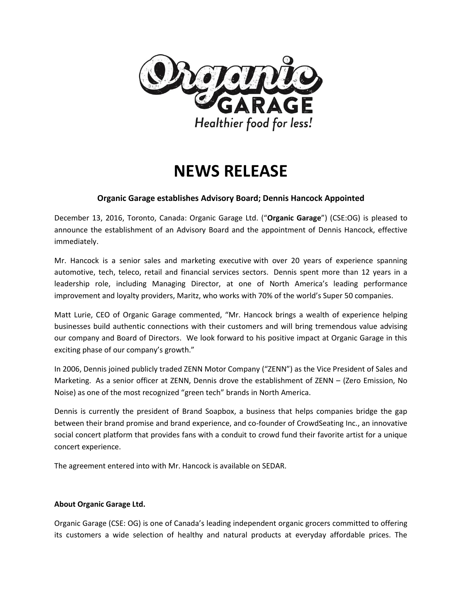

# **NEWS RELEASE**

### **Organic Garage establishes Advisory Board; Dennis Hancock Appointed**

December 13, 2016, Toronto, Canada: Organic Garage Ltd. ("**Organic Garage**") (CSE:OG) is pleased to announce the establishment of an Advisory Board and the appointment of Dennis Hancock, effective immediately.

Mr. Hancock is a senior sales and marketing executive with over 20 years of experience spanning automotive, tech, teleco, retail and financial services sectors. Dennis spent more than 12 years in a leadership role, including Managing Director, at one of North America's leading performance improvement and loyalty providers, Maritz, who works with 70% of the world's Super 50 companies.

Matt Lurie, CEO of Organic Garage commented, "Mr. Hancock brings a wealth of experience helping businesses build authentic connections with their customers and will bring tremendous value advising our company and Board of Directors. We look forward to his positive impact at Organic Garage in this exciting phase of our company's growth."

In 2006, Dennis joined publicly traded ZENN Motor Company ("ZENN") as the Vice President of Sales and Marketing. As a senior officer at ZENN, Dennis drove the establishment of ZENN – (Zero Emission, No Noise) as one of the most recognized "green tech" brands in North America.

Dennis is currently the president of Brand Soapbox, a business that helps companies bridge the gap between their brand promise and brand experience, and co-founder of CrowdSeating Inc., an innovative social concert platform that provides fans with a conduit to crowd fund their favorite artist for a unique concert experience.

The agreement entered into with Mr. Hancock is available on SEDAR.

#### **About Organic Garage Ltd.**

Organic Garage (CSE: OG) is one of Canada's leading independent organic grocers committed to offering its customers a wide selection of healthy and natural products at everyday affordable prices. The